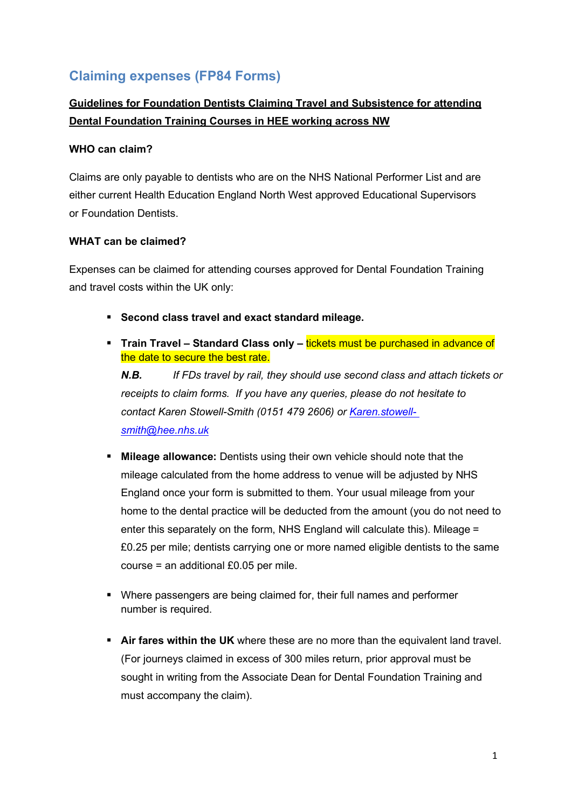# **Claiming expenses (FP84 Forms)**

## **Guidelines for Foundation Dentists Claiming Travel and Subsistence for attending Dental Foundation Training Courses in HEE working across NW**

#### **WHO can claim?**

Claims are only payable to dentists who are on the NHS National Performer List and are either current Health Education England North West approved Educational Supervisors or Foundation Dentists.

#### **WHAT can be claimed?**

Expenses can be claimed for attending courses approved for Dental Foundation Training and travel costs within the UK only:

- **Second class travel and exact standard mileage.**
- **Train Travel Standard Class only tickets must be purchased in advance of** the date to secure the best rate.

*N.B. If FDs travel by rail, they should use second class and attach tickets or receipts to claim forms. If you have any queries, please do not hesitate to contact Karen Stowell-Smith (0151 479 2606) or [Karen.stowell](mailto:Karen.stowell-smith@hee.nhs.uk)[smith@hee.nhs.uk](mailto:Karen.stowell-smith@hee.nhs.uk)*

- **Mileage allowance:** Dentists using their own vehicle should note that the mileage calculated from the home address to venue will be adjusted by NHS England once your form is submitted to them. Your usual mileage from your home to the dental practice will be deducted from the amount (you do not need to enter this separately on the form, NHS England will calculate this). Mileage = £0.25 per mile; dentists carrying one or more named eligible dentists to the same course = an additional £0.05 per mile.
- Where passengers are being claimed for, their full names and performer number is required.
- **EXTE:** Air fares within the UK where these are no more than the equivalent land travel. (For journeys claimed in excess of 300 miles return, prior approval must be sought in writing from the Associate Dean for Dental Foundation Training and must accompany the claim).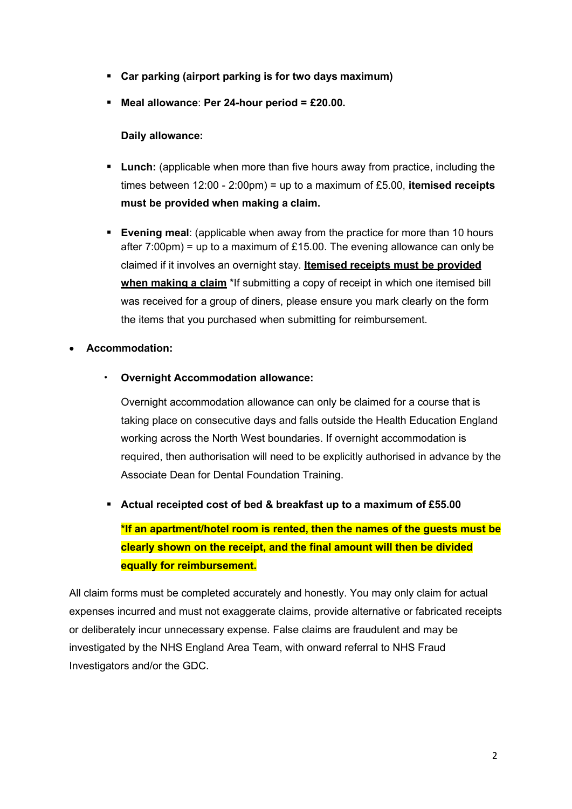- **Car parking (airport parking is for two days maximum)**
- **Meal allowance**: **Per 24-hour period = £20.00.**

#### **Daily allowance:**

- **Lunch:** (applicable when more than five hours away from practice, including the times between 12:00 - 2:00pm) = up to a maximum of £5.00, **itemised receipts must be provided when making a claim.**
- **Evening meal:** (applicable when away from the practice for more than 10 hours after 7:00pm) = up to a maximum of £15.00. The evening allowance can only be claimed if it involves an overnight stay. **Itemised receipts must be provided when making a claim** \*If submitting a copy of receipt in which one itemised bill was received for a group of diners, please ensure you mark clearly on the form the items that you purchased when submitting for reimbursement.

#### • **Accommodation:**

• **Overnight Accommodation allowance:**

Overnight accommodation allowance can only be claimed for a course that is taking place on consecutive days and falls outside the Health Education England working across the North West boundaries. If overnight accommodation is required, then authorisation will need to be explicitly authorised in advance by the Associate Dean for Dental Foundation Training.

▪ **Actual receipted cost of bed & breakfast up to a maximum of £55.00**

**\*If an apartment/hotel room is rented, then the names of the guests must be clearly shown on the receipt, and the final amount will then be divided equally for reimbursement.**

All claim forms must be completed accurately and honestly. You may only claim for actual expenses incurred and must not exaggerate claims, provide alternative or fabricated receipts or deliberately incur unnecessary expense. False claims are fraudulent and may be investigated by the NHS England Area Team, with onward referral to NHS Fraud Investigators and/or the GDC.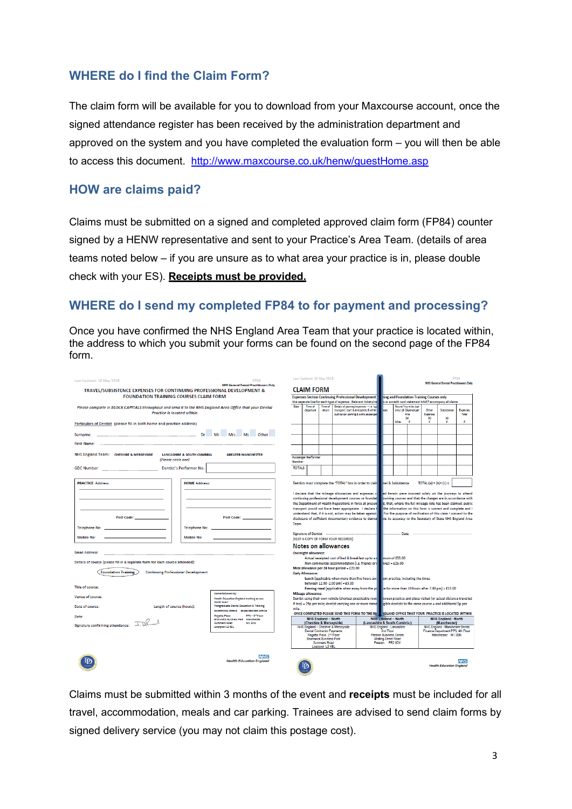### **WHERE do I find the Claim Form?**

The claim form will be available for you to download from your Maxcourse account, once the signed attendance register has been received by the administration department and approved on the system and you have completed the evaluation form – you will then be able to access this document. <http://www.maxcourse.co.uk/henw/guestHome.asp>

### **HOW are claims paid?**

Claims must be submitted on a signed and completed approved claim form (FP84) counter signed by a HENW representative and sent to your Practice's Area Team. (details of area teams noted below – if you are unsure as to what area your practice is in, please double check with your ES). **Receipts must be provided.**

### **WHERE do I send my completed FP84 to for payment and processing?**

Once you have confirmed the NHS England Area Team that your practice is located within, the address to which you submit your forms can be found on the second page of the FP84 form.

| <b>FOUNDATION TRAINING COURSES CLAIM FORM</b><br><b>Expenses Section Continuing Professional Development</b><br>ning and Foundation Training Courses only<br>Use separate line for each type of expense. Relevant tickets/rel<br>s or a credit card statement MUST accompany all claims<br>Details of journey/expenses - i.e. tvo<br><b>Round Trip miles (car</b><br>Date:<br>Time of<br>Time of<br>Please complete in BLOCK CAPITALS throughout and send it to the NHS England Area Office that your Dental<br>Other<br>transport, start & end points & other<br>only ) @ 24pence per<br>Subsistence<br>Expenses<br>departure<br>return<br>ues<br><b>Practice is located within</b><br>such as car parking & extra passenger<br>Expenses<br>mile<br>Total<br>(b)<br>$\vert$ c)<br>(a)<br>Miles<br>÷<br>÷<br>÷<br>÷<br>Particulars of Dentist (please fill in both home and practice address)<br>NHS England Team: CHESHIRE & MERSEYSIDE<br><b>LANCASHIRE &amp; SOUTH CUMBRIA</b><br><b>GREATER MANCHESTER</b><br><b>Passenger Performer</b><br>(Please circle one)<br><b>Number</b><br><b>TOTALS</b><br>TOTAL $(a) + (b) + (c) =$<br><b>PRACTICE Address:</b><br><b>HOME Address:</b><br>Dentists must complete the "TOTAL" box in order to clain vel & Subsistence<br>I declare that the mileage allowances and expenses cleep ed herein were incurred solely on the journeys to attend<br>continuing professional development courses or foundat<br>training courses and that the charges are in accordance with<br>the Department of Health Regulations in force at present<br>d, that, where the full mileage rate has been claimed, public<br>the information on this form is correct and complete and I<br>transport would not have been appropriate. I declare t<br>understand that, if it is not, action may be taken against<br>For the purpose of verification of this claim I consent to the<br>Post Code: ________________<br>Post Code: <b>All According to According the Code:</b><br>disclosure of sufficient documentary evidence to demor the its accuracy to the Secretary of State NHS England Area<br>Team.<br><b>Telephone No:</b><br><b>Telephone No:</b><br>Signature of Dentist <b>communications</b> and the signature of Dentist<br><b>Mobile No:</b><br>Mobile No:<br>(KEEP A COPY OF FORM YOUR RECORDS)<br>Notes on allowances<br><b>Email Address:</b><br><b>Overnight allowance:</b><br>Actual receipted cost of bed & breakfast up to a n mum of £55.00<br>Details of course (please fill in a separate form for each course attended):<br>Non-commercial accommodation (i.e. friends or $r = 1$ ives) = £25.00<br>Meal allowance per 24 hour period = $£20.00$<br><b>Foundation Training</b><br><b>Continuing Professional Development</b><br><b>Daily Allowance:</b><br>Lunch (applicable when more than five hours away om practice, including the times<br>between $12.00 - 2.00$ pm $ = £5.00$<br><b>Title of course:</b><br>Evening meal (applicable when away from the printing the for more than 10 hours after 7.00 pm) = £15.00<br>Commissioned by:<br><b>Mileage allowance:</b><br>Venue of course:<br>Dentist using their own vehicle (shortest practicable route tween practice and place visited (or actual distance travelled<br>Health Education England working across<br>North West<br>if less) = 24p per mile; dentist carrying one or more name $\frac{1}{2}$ gible dentists to the same course = and additional 5p per<br>Postgraduate Dental Education & Training<br>Length of course (hours):<br>Date of course:<br>mile.<br>LIVERPOOL OFFICE MANCHESTER OFFICE<br>ONCE COMPLETED PLEASE SEND THIS FORM TO THE NH VIGLAND OFFICE THAT YOUR PRACTICE IS LOCATED WITHIN<br>PP3-3 <sup>nd</sup> Floor<br>Regatta Place<br>Date:<br><b>NHS England - North</b><br><b>NHS Logland</b> - North<br><b>NHS England - North</b><br>Brunswick Business Park Manchester<br>(Cheshire & Merseyside)<br>(Lancashire & South Cumbria)<br>(Manchester)<br><b>Summers Road</b><br>M1 3DN<br>Liverpool L3 4BL<br>NHS England - Cheshire & Merseyside<br>NHS England - Lancashire<br>NHS England - Manchester Dental<br>Dental Contractor Payments<br>Finance Department PP3, 4th Floor<br>2nd Floor<br>Regatta Place, 2 <sup>nd</sup> Floor<br>Manchester M1 3BN<br><b>Preston Business Centre</b><br><b>Brunswick Business Park</b><br><b>Watling Street Road</b><br><b>Summers Road</b><br>Preston PR2 8DY<br>Liverpool L3 4BL<br><b>NHS</b><br><b>Health Education England</b><br><b>NHS</b><br><b>Health Education England</b> | Last Updated: 16 May 2018<br>TRAVEL/SUBSISTENCE EXPENSES FOR CONTINUING PROFESSIONAL DEVELOPMENT & | <b>FP84</b><br><b>NHS General Dental Practitioners Only</b> |  | Last Updated: 16 May 2018<br><b>CLAIM FORM</b> |  |  |  |  |  | <b>FP84</b><br><b>NHS General Dental Practitioners Only</b> |  |  |  |  |  |  |  |
|--------------------------------------------------------------------------------------------------------------------------------------------------------------------------------------------------------------------------------------------------------------------------------------------------------------------------------------------------------------------------------------------------------------------------------------------------------------------------------------------------------------------------------------------------------------------------------------------------------------------------------------------------------------------------------------------------------------------------------------------------------------------------------------------------------------------------------------------------------------------------------------------------------------------------------------------------------------------------------------------------------------------------------------------------------------------------------------------------------------------------------------------------------------------------------------------------------------------------------------------------------------------------------------------------------------------------------------------------------------------------------------------------------------------------------------------------------------------------------------------------------------------------------------------------------------------------------------------------------------------------------------------------------------------------------------------------------------------------------------------------------------------------------------------------------------------------------------------------------------------------------------------------------------------------------------------------------------------------------------------------------------------------------------------------------------------------------------------------------------------------------------------------------------------------------------------------------------------------------------------------------------------------------------------------------------------------------------------------------------------------------------------------------------------------------------------------------------------------------------------------------------------------------------------------------------------------------------------------------------------------------------------------------------------------------------------------------------------------------------------------------------------------------------------------------------------------------------------------------------------------------------------------------------------------------------------------------------------------------------------------------------------------------------------------------------------------------------------------------------------------------------------------------------------------------------------------------------------------------------------------------------------------------------------------------------------------------------------------------------------------------------------------------------------------------------------------------------------------------------------------------------------------------------------------------------------------------------------------------------------------------------------------------------------------------------------------------------------------------------------------------------------------------------------------------------------------------------------------------------------------------------------------------------------------------------------------------------------------------------------------------------------------------------------------------------------------------------------------------------------------------------------------------------------------------------------------------------------------------------------------------------------------------------------------------------------------------------------------------------------------------------------------------------------------------------------------------------------------------------------------------------------------------------------------------------------------|----------------------------------------------------------------------------------------------------|-------------------------------------------------------------|--|------------------------------------------------|--|--|--|--|--|-------------------------------------------------------------|--|--|--|--|--|--|--|
|                                                                                                                                                                                                                                                                                                                                                                                                                                                                                                                                                                                                                                                                                                                                                                                                                                                                                                                                                                                                                                                                                                                                                                                                                                                                                                                                                                                                                                                                                                                                                                                                                                                                                                                                                                                                                                                                                                                                                                                                                                                                                                                                                                                                                                                                                                                                                                                                                                                                                                                                                                                                                                                                                                                                                                                                                                                                                                                                                                                                                                                                                                                                                                                                                                                                                                                                                                                                                                                                                                                                                                                                                                                                                                                                                                                                                                                                                                                                                                                                                                                                                                                                                                                                                                                                                                                                                                                                                                                                                                                                                                          |                                                                                                    |                                                             |  |                                                |  |  |  |  |  |                                                             |  |  |  |  |  |  |  |
|                                                                                                                                                                                                                                                                                                                                                                                                                                                                                                                                                                                                                                                                                                                                                                                                                                                                                                                                                                                                                                                                                                                                                                                                                                                                                                                                                                                                                                                                                                                                                                                                                                                                                                                                                                                                                                                                                                                                                                                                                                                                                                                                                                                                                                                                                                                                                                                                                                                                                                                                                                                                                                                                                                                                                                                                                                                                                                                                                                                                                                                                                                                                                                                                                                                                                                                                                                                                                                                                                                                                                                                                                                                                                                                                                                                                                                                                                                                                                                                                                                                                                                                                                                                                                                                                                                                                                                                                                                                                                                                                                                          |                                                                                                    |                                                             |  |                                                |  |  |  |  |  |                                                             |  |  |  |  |  |  |  |
|                                                                                                                                                                                                                                                                                                                                                                                                                                                                                                                                                                                                                                                                                                                                                                                                                                                                                                                                                                                                                                                                                                                                                                                                                                                                                                                                                                                                                                                                                                                                                                                                                                                                                                                                                                                                                                                                                                                                                                                                                                                                                                                                                                                                                                                                                                                                                                                                                                                                                                                                                                                                                                                                                                                                                                                                                                                                                                                                                                                                                                                                                                                                                                                                                                                                                                                                                                                                                                                                                                                                                                                                                                                                                                                                                                                                                                                                                                                                                                                                                                                                                                                                                                                                                                                                                                                                                                                                                                                                                                                                                                          |                                                                                                    |                                                             |  |                                                |  |  |  |  |  |                                                             |  |  |  |  |  |  |  |
|                                                                                                                                                                                                                                                                                                                                                                                                                                                                                                                                                                                                                                                                                                                                                                                                                                                                                                                                                                                                                                                                                                                                                                                                                                                                                                                                                                                                                                                                                                                                                                                                                                                                                                                                                                                                                                                                                                                                                                                                                                                                                                                                                                                                                                                                                                                                                                                                                                                                                                                                                                                                                                                                                                                                                                                                                                                                                                                                                                                                                                                                                                                                                                                                                                                                                                                                                                                                                                                                                                                                                                                                                                                                                                                                                                                                                                                                                                                                                                                                                                                                                                                                                                                                                                                                                                                                                                                                                                                                                                                                                                          |                                                                                                    |                                                             |  |                                                |  |  |  |  |  |                                                             |  |  |  |  |  |  |  |
|                                                                                                                                                                                                                                                                                                                                                                                                                                                                                                                                                                                                                                                                                                                                                                                                                                                                                                                                                                                                                                                                                                                                                                                                                                                                                                                                                                                                                                                                                                                                                                                                                                                                                                                                                                                                                                                                                                                                                                                                                                                                                                                                                                                                                                                                                                                                                                                                                                                                                                                                                                                                                                                                                                                                                                                                                                                                                                                                                                                                                                                                                                                                                                                                                                                                                                                                                                                                                                                                                                                                                                                                                                                                                                                                                                                                                                                                                                                                                                                                                                                                                                                                                                                                                                                                                                                                                                                                                                                                                                                                                                          |                                                                                                    |                                                             |  |                                                |  |  |  |  |  |                                                             |  |  |  |  |  |  |  |
|                                                                                                                                                                                                                                                                                                                                                                                                                                                                                                                                                                                                                                                                                                                                                                                                                                                                                                                                                                                                                                                                                                                                                                                                                                                                                                                                                                                                                                                                                                                                                                                                                                                                                                                                                                                                                                                                                                                                                                                                                                                                                                                                                                                                                                                                                                                                                                                                                                                                                                                                                                                                                                                                                                                                                                                                                                                                                                                                                                                                                                                                                                                                                                                                                                                                                                                                                                                                                                                                                                                                                                                                                                                                                                                                                                                                                                                                                                                                                                                                                                                                                                                                                                                                                                                                                                                                                                                                                                                                                                                                                                          |                                                                                                    |                                                             |  |                                                |  |  |  |  |  |                                                             |  |  |  |  |  |  |  |
|                                                                                                                                                                                                                                                                                                                                                                                                                                                                                                                                                                                                                                                                                                                                                                                                                                                                                                                                                                                                                                                                                                                                                                                                                                                                                                                                                                                                                                                                                                                                                                                                                                                                                                                                                                                                                                                                                                                                                                                                                                                                                                                                                                                                                                                                                                                                                                                                                                                                                                                                                                                                                                                                                                                                                                                                                                                                                                                                                                                                                                                                                                                                                                                                                                                                                                                                                                                                                                                                                                                                                                                                                                                                                                                                                                                                                                                                                                                                                                                                                                                                                                                                                                                                                                                                                                                                                                                                                                                                                                                                                                          |                                                                                                    |                                                             |  |                                                |  |  |  |  |  |                                                             |  |  |  |  |  |  |  |
|                                                                                                                                                                                                                                                                                                                                                                                                                                                                                                                                                                                                                                                                                                                                                                                                                                                                                                                                                                                                                                                                                                                                                                                                                                                                                                                                                                                                                                                                                                                                                                                                                                                                                                                                                                                                                                                                                                                                                                                                                                                                                                                                                                                                                                                                                                                                                                                                                                                                                                                                                                                                                                                                                                                                                                                                                                                                                                                                                                                                                                                                                                                                                                                                                                                                                                                                                                                                                                                                                                                                                                                                                                                                                                                                                                                                                                                                                                                                                                                                                                                                                                                                                                                                                                                                                                                                                                                                                                                                                                                                                                          |                                                                                                    |                                                             |  |                                                |  |  |  |  |  |                                                             |  |  |  |  |  |  |  |
|                                                                                                                                                                                                                                                                                                                                                                                                                                                                                                                                                                                                                                                                                                                                                                                                                                                                                                                                                                                                                                                                                                                                                                                                                                                                                                                                                                                                                                                                                                                                                                                                                                                                                                                                                                                                                                                                                                                                                                                                                                                                                                                                                                                                                                                                                                                                                                                                                                                                                                                                                                                                                                                                                                                                                                                                                                                                                                                                                                                                                                                                                                                                                                                                                                                                                                                                                                                                                                                                                                                                                                                                                                                                                                                                                                                                                                                                                                                                                                                                                                                                                                                                                                                                                                                                                                                                                                                                                                                                                                                                                                          |                                                                                                    |                                                             |  |                                                |  |  |  |  |  |                                                             |  |  |  |  |  |  |  |
|                                                                                                                                                                                                                                                                                                                                                                                                                                                                                                                                                                                                                                                                                                                                                                                                                                                                                                                                                                                                                                                                                                                                                                                                                                                                                                                                                                                                                                                                                                                                                                                                                                                                                                                                                                                                                                                                                                                                                                                                                                                                                                                                                                                                                                                                                                                                                                                                                                                                                                                                                                                                                                                                                                                                                                                                                                                                                                                                                                                                                                                                                                                                                                                                                                                                                                                                                                                                                                                                                                                                                                                                                                                                                                                                                                                                                                                                                                                                                                                                                                                                                                                                                                                                                                                                                                                                                                                                                                                                                                                                                                          |                                                                                                    |                                                             |  |                                                |  |  |  |  |  |                                                             |  |  |  |  |  |  |  |
|                                                                                                                                                                                                                                                                                                                                                                                                                                                                                                                                                                                                                                                                                                                                                                                                                                                                                                                                                                                                                                                                                                                                                                                                                                                                                                                                                                                                                                                                                                                                                                                                                                                                                                                                                                                                                                                                                                                                                                                                                                                                                                                                                                                                                                                                                                                                                                                                                                                                                                                                                                                                                                                                                                                                                                                                                                                                                                                                                                                                                                                                                                                                                                                                                                                                                                                                                                                                                                                                                                                                                                                                                                                                                                                                                                                                                                                                                                                                                                                                                                                                                                                                                                                                                                                                                                                                                                                                                                                                                                                                                                          |                                                                                                    |                                                             |  |                                                |  |  |  |  |  |                                                             |  |  |  |  |  |  |  |
|                                                                                                                                                                                                                                                                                                                                                                                                                                                                                                                                                                                                                                                                                                                                                                                                                                                                                                                                                                                                                                                                                                                                                                                                                                                                                                                                                                                                                                                                                                                                                                                                                                                                                                                                                                                                                                                                                                                                                                                                                                                                                                                                                                                                                                                                                                                                                                                                                                                                                                                                                                                                                                                                                                                                                                                                                                                                                                                                                                                                                                                                                                                                                                                                                                                                                                                                                                                                                                                                                                                                                                                                                                                                                                                                                                                                                                                                                                                                                                                                                                                                                                                                                                                                                                                                                                                                                                                                                                                                                                                                                                          |                                                                                                    |                                                             |  |                                                |  |  |  |  |  |                                                             |  |  |  |  |  |  |  |
|                                                                                                                                                                                                                                                                                                                                                                                                                                                                                                                                                                                                                                                                                                                                                                                                                                                                                                                                                                                                                                                                                                                                                                                                                                                                                                                                                                                                                                                                                                                                                                                                                                                                                                                                                                                                                                                                                                                                                                                                                                                                                                                                                                                                                                                                                                                                                                                                                                                                                                                                                                                                                                                                                                                                                                                                                                                                                                                                                                                                                                                                                                                                                                                                                                                                                                                                                                                                                                                                                                                                                                                                                                                                                                                                                                                                                                                                                                                                                                                                                                                                                                                                                                                                                                                                                                                                                                                                                                                                                                                                                                          |                                                                                                    |                                                             |  |                                                |  |  |  |  |  |                                                             |  |  |  |  |  |  |  |
|                                                                                                                                                                                                                                                                                                                                                                                                                                                                                                                                                                                                                                                                                                                                                                                                                                                                                                                                                                                                                                                                                                                                                                                                                                                                                                                                                                                                                                                                                                                                                                                                                                                                                                                                                                                                                                                                                                                                                                                                                                                                                                                                                                                                                                                                                                                                                                                                                                                                                                                                                                                                                                                                                                                                                                                                                                                                                                                                                                                                                                                                                                                                                                                                                                                                                                                                                                                                                                                                                                                                                                                                                                                                                                                                                                                                                                                                                                                                                                                                                                                                                                                                                                                                                                                                                                                                                                                                                                                                                                                                                                          |                                                                                                    |                                                             |  |                                                |  |  |  |  |  |                                                             |  |  |  |  |  |  |  |
|                                                                                                                                                                                                                                                                                                                                                                                                                                                                                                                                                                                                                                                                                                                                                                                                                                                                                                                                                                                                                                                                                                                                                                                                                                                                                                                                                                                                                                                                                                                                                                                                                                                                                                                                                                                                                                                                                                                                                                                                                                                                                                                                                                                                                                                                                                                                                                                                                                                                                                                                                                                                                                                                                                                                                                                                                                                                                                                                                                                                                                                                                                                                                                                                                                                                                                                                                                                                                                                                                                                                                                                                                                                                                                                                                                                                                                                                                                                                                                                                                                                                                                                                                                                                                                                                                                                                                                                                                                                                                                                                                                          |                                                                                                    |                                                             |  |                                                |  |  |  |  |  |                                                             |  |  |  |  |  |  |  |
|                                                                                                                                                                                                                                                                                                                                                                                                                                                                                                                                                                                                                                                                                                                                                                                                                                                                                                                                                                                                                                                                                                                                                                                                                                                                                                                                                                                                                                                                                                                                                                                                                                                                                                                                                                                                                                                                                                                                                                                                                                                                                                                                                                                                                                                                                                                                                                                                                                                                                                                                                                                                                                                                                                                                                                                                                                                                                                                                                                                                                                                                                                                                                                                                                                                                                                                                                                                                                                                                                                                                                                                                                                                                                                                                                                                                                                                                                                                                                                                                                                                                                                                                                                                                                                                                                                                                                                                                                                                                                                                                                                          |                                                                                                    |                                                             |  |                                                |  |  |  |  |  |                                                             |  |  |  |  |  |  |  |
|                                                                                                                                                                                                                                                                                                                                                                                                                                                                                                                                                                                                                                                                                                                                                                                                                                                                                                                                                                                                                                                                                                                                                                                                                                                                                                                                                                                                                                                                                                                                                                                                                                                                                                                                                                                                                                                                                                                                                                                                                                                                                                                                                                                                                                                                                                                                                                                                                                                                                                                                                                                                                                                                                                                                                                                                                                                                                                                                                                                                                                                                                                                                                                                                                                                                                                                                                                                                                                                                                                                                                                                                                                                                                                                                                                                                                                                                                                                                                                                                                                                                                                                                                                                                                                                                                                                                                                                                                                                                                                                                                                          |                                                                                                    |                                                             |  |                                                |  |  |  |  |  |                                                             |  |  |  |  |  |  |  |
|                                                                                                                                                                                                                                                                                                                                                                                                                                                                                                                                                                                                                                                                                                                                                                                                                                                                                                                                                                                                                                                                                                                                                                                                                                                                                                                                                                                                                                                                                                                                                                                                                                                                                                                                                                                                                                                                                                                                                                                                                                                                                                                                                                                                                                                                                                                                                                                                                                                                                                                                                                                                                                                                                                                                                                                                                                                                                                                                                                                                                                                                                                                                                                                                                                                                                                                                                                                                                                                                                                                                                                                                                                                                                                                                                                                                                                                                                                                                                                                                                                                                                                                                                                                                                                                                                                                                                                                                                                                                                                                                                                          |                                                                                                    |                                                             |  |                                                |  |  |  |  |  |                                                             |  |  |  |  |  |  |  |
|                                                                                                                                                                                                                                                                                                                                                                                                                                                                                                                                                                                                                                                                                                                                                                                                                                                                                                                                                                                                                                                                                                                                                                                                                                                                                                                                                                                                                                                                                                                                                                                                                                                                                                                                                                                                                                                                                                                                                                                                                                                                                                                                                                                                                                                                                                                                                                                                                                                                                                                                                                                                                                                                                                                                                                                                                                                                                                                                                                                                                                                                                                                                                                                                                                                                                                                                                                                                                                                                                                                                                                                                                                                                                                                                                                                                                                                                                                                                                                                                                                                                                                                                                                                                                                                                                                                                                                                                                                                                                                                                                                          |                                                                                                    |                                                             |  |                                                |  |  |  |  |  |                                                             |  |  |  |  |  |  |  |
|                                                                                                                                                                                                                                                                                                                                                                                                                                                                                                                                                                                                                                                                                                                                                                                                                                                                                                                                                                                                                                                                                                                                                                                                                                                                                                                                                                                                                                                                                                                                                                                                                                                                                                                                                                                                                                                                                                                                                                                                                                                                                                                                                                                                                                                                                                                                                                                                                                                                                                                                                                                                                                                                                                                                                                                                                                                                                                                                                                                                                                                                                                                                                                                                                                                                                                                                                                                                                                                                                                                                                                                                                                                                                                                                                                                                                                                                                                                                                                                                                                                                                                                                                                                                                                                                                                                                                                                                                                                                                                                                                                          |                                                                                                    |                                                             |  |                                                |  |  |  |  |  |                                                             |  |  |  |  |  |  |  |
|                                                                                                                                                                                                                                                                                                                                                                                                                                                                                                                                                                                                                                                                                                                                                                                                                                                                                                                                                                                                                                                                                                                                                                                                                                                                                                                                                                                                                                                                                                                                                                                                                                                                                                                                                                                                                                                                                                                                                                                                                                                                                                                                                                                                                                                                                                                                                                                                                                                                                                                                                                                                                                                                                                                                                                                                                                                                                                                                                                                                                                                                                                                                                                                                                                                                                                                                                                                                                                                                                                                                                                                                                                                                                                                                                                                                                                                                                                                                                                                                                                                                                                                                                                                                                                                                                                                                                                                                                                                                                                                                                                          |                                                                                                    |                                                             |  |                                                |  |  |  |  |  |                                                             |  |  |  |  |  |  |  |
|                                                                                                                                                                                                                                                                                                                                                                                                                                                                                                                                                                                                                                                                                                                                                                                                                                                                                                                                                                                                                                                                                                                                                                                                                                                                                                                                                                                                                                                                                                                                                                                                                                                                                                                                                                                                                                                                                                                                                                                                                                                                                                                                                                                                                                                                                                                                                                                                                                                                                                                                                                                                                                                                                                                                                                                                                                                                                                                                                                                                                                                                                                                                                                                                                                                                                                                                                                                                                                                                                                                                                                                                                                                                                                                                                                                                                                                                                                                                                                                                                                                                                                                                                                                                                                                                                                                                                                                                                                                                                                                                                                          |                                                                                                    |                                                             |  |                                                |  |  |  |  |  |                                                             |  |  |  |  |  |  |  |
|                                                                                                                                                                                                                                                                                                                                                                                                                                                                                                                                                                                                                                                                                                                                                                                                                                                                                                                                                                                                                                                                                                                                                                                                                                                                                                                                                                                                                                                                                                                                                                                                                                                                                                                                                                                                                                                                                                                                                                                                                                                                                                                                                                                                                                                                                                                                                                                                                                                                                                                                                                                                                                                                                                                                                                                                                                                                                                                                                                                                                                                                                                                                                                                                                                                                                                                                                                                                                                                                                                                                                                                                                                                                                                                                                                                                                                                                                                                                                                                                                                                                                                                                                                                                                                                                                                                                                                                                                                                                                                                                                                          |                                                                                                    |                                                             |  |                                                |  |  |  |  |  |                                                             |  |  |  |  |  |  |  |
|                                                                                                                                                                                                                                                                                                                                                                                                                                                                                                                                                                                                                                                                                                                                                                                                                                                                                                                                                                                                                                                                                                                                                                                                                                                                                                                                                                                                                                                                                                                                                                                                                                                                                                                                                                                                                                                                                                                                                                                                                                                                                                                                                                                                                                                                                                                                                                                                                                                                                                                                                                                                                                                                                                                                                                                                                                                                                                                                                                                                                                                                                                                                                                                                                                                                                                                                                                                                                                                                                                                                                                                                                                                                                                                                                                                                                                                                                                                                                                                                                                                                                                                                                                                                                                                                                                                                                                                                                                                                                                                                                                          |                                                                                                    |                                                             |  |                                                |  |  |  |  |  |                                                             |  |  |  |  |  |  |  |
|                                                                                                                                                                                                                                                                                                                                                                                                                                                                                                                                                                                                                                                                                                                                                                                                                                                                                                                                                                                                                                                                                                                                                                                                                                                                                                                                                                                                                                                                                                                                                                                                                                                                                                                                                                                                                                                                                                                                                                                                                                                                                                                                                                                                                                                                                                                                                                                                                                                                                                                                                                                                                                                                                                                                                                                                                                                                                                                                                                                                                                                                                                                                                                                                                                                                                                                                                                                                                                                                                                                                                                                                                                                                                                                                                                                                                                                                                                                                                                                                                                                                                                                                                                                                                                                                                                                                                                                                                                                                                                                                                                          |                                                                                                    |                                                             |  |                                                |  |  |  |  |  |                                                             |  |  |  |  |  |  |  |
|                                                                                                                                                                                                                                                                                                                                                                                                                                                                                                                                                                                                                                                                                                                                                                                                                                                                                                                                                                                                                                                                                                                                                                                                                                                                                                                                                                                                                                                                                                                                                                                                                                                                                                                                                                                                                                                                                                                                                                                                                                                                                                                                                                                                                                                                                                                                                                                                                                                                                                                                                                                                                                                                                                                                                                                                                                                                                                                                                                                                                                                                                                                                                                                                                                                                                                                                                                                                                                                                                                                                                                                                                                                                                                                                                                                                                                                                                                                                                                                                                                                                                                                                                                                                                                                                                                                                                                                                                                                                                                                                                                          |                                                                                                    |                                                             |  |                                                |  |  |  |  |  |                                                             |  |  |  |  |  |  |  |
|                                                                                                                                                                                                                                                                                                                                                                                                                                                                                                                                                                                                                                                                                                                                                                                                                                                                                                                                                                                                                                                                                                                                                                                                                                                                                                                                                                                                                                                                                                                                                                                                                                                                                                                                                                                                                                                                                                                                                                                                                                                                                                                                                                                                                                                                                                                                                                                                                                                                                                                                                                                                                                                                                                                                                                                                                                                                                                                                                                                                                                                                                                                                                                                                                                                                                                                                                                                                                                                                                                                                                                                                                                                                                                                                                                                                                                                                                                                                                                                                                                                                                                                                                                                                                                                                                                                                                                                                                                                                                                                                                                          |                                                                                                    |                                                             |  |                                                |  |  |  |  |  |                                                             |  |  |  |  |  |  |  |
|                                                                                                                                                                                                                                                                                                                                                                                                                                                                                                                                                                                                                                                                                                                                                                                                                                                                                                                                                                                                                                                                                                                                                                                                                                                                                                                                                                                                                                                                                                                                                                                                                                                                                                                                                                                                                                                                                                                                                                                                                                                                                                                                                                                                                                                                                                                                                                                                                                                                                                                                                                                                                                                                                                                                                                                                                                                                                                                                                                                                                                                                                                                                                                                                                                                                                                                                                                                                                                                                                                                                                                                                                                                                                                                                                                                                                                                                                                                                                                                                                                                                                                                                                                                                                                                                                                                                                                                                                                                                                                                                                                          |                                                                                                    |                                                             |  |                                                |  |  |  |  |  |                                                             |  |  |  |  |  |  |  |
|                                                                                                                                                                                                                                                                                                                                                                                                                                                                                                                                                                                                                                                                                                                                                                                                                                                                                                                                                                                                                                                                                                                                                                                                                                                                                                                                                                                                                                                                                                                                                                                                                                                                                                                                                                                                                                                                                                                                                                                                                                                                                                                                                                                                                                                                                                                                                                                                                                                                                                                                                                                                                                                                                                                                                                                                                                                                                                                                                                                                                                                                                                                                                                                                                                                                                                                                                                                                                                                                                                                                                                                                                                                                                                                                                                                                                                                                                                                                                                                                                                                                                                                                                                                                                                                                                                                                                                                                                                                                                                                                                                          |                                                                                                    |                                                             |  |                                                |  |  |  |  |  |                                                             |  |  |  |  |  |  |  |
|                                                                                                                                                                                                                                                                                                                                                                                                                                                                                                                                                                                                                                                                                                                                                                                                                                                                                                                                                                                                                                                                                                                                                                                                                                                                                                                                                                                                                                                                                                                                                                                                                                                                                                                                                                                                                                                                                                                                                                                                                                                                                                                                                                                                                                                                                                                                                                                                                                                                                                                                                                                                                                                                                                                                                                                                                                                                                                                                                                                                                                                                                                                                                                                                                                                                                                                                                                                                                                                                                                                                                                                                                                                                                                                                                                                                                                                                                                                                                                                                                                                                                                                                                                                                                                                                                                                                                                                                                                                                                                                                                                          |                                                                                                    |                                                             |  |                                                |  |  |  |  |  |                                                             |  |  |  |  |  |  |  |
|                                                                                                                                                                                                                                                                                                                                                                                                                                                                                                                                                                                                                                                                                                                                                                                                                                                                                                                                                                                                                                                                                                                                                                                                                                                                                                                                                                                                                                                                                                                                                                                                                                                                                                                                                                                                                                                                                                                                                                                                                                                                                                                                                                                                                                                                                                                                                                                                                                                                                                                                                                                                                                                                                                                                                                                                                                                                                                                                                                                                                                                                                                                                                                                                                                                                                                                                                                                                                                                                                                                                                                                                                                                                                                                                                                                                                                                                                                                                                                                                                                                                                                                                                                                                                                                                                                                                                                                                                                                                                                                                                                          |                                                                                                    |                                                             |  |                                                |  |  |  |  |  |                                                             |  |  |  |  |  |  |  |
|                                                                                                                                                                                                                                                                                                                                                                                                                                                                                                                                                                                                                                                                                                                                                                                                                                                                                                                                                                                                                                                                                                                                                                                                                                                                                                                                                                                                                                                                                                                                                                                                                                                                                                                                                                                                                                                                                                                                                                                                                                                                                                                                                                                                                                                                                                                                                                                                                                                                                                                                                                                                                                                                                                                                                                                                                                                                                                                                                                                                                                                                                                                                                                                                                                                                                                                                                                                                                                                                                                                                                                                                                                                                                                                                                                                                                                                                                                                                                                                                                                                                                                                                                                                                                                                                                                                                                                                                                                                                                                                                                                          |                                                                                                    |                                                             |  |                                                |  |  |  |  |  |                                                             |  |  |  |  |  |  |  |
|                                                                                                                                                                                                                                                                                                                                                                                                                                                                                                                                                                                                                                                                                                                                                                                                                                                                                                                                                                                                                                                                                                                                                                                                                                                                                                                                                                                                                                                                                                                                                                                                                                                                                                                                                                                                                                                                                                                                                                                                                                                                                                                                                                                                                                                                                                                                                                                                                                                                                                                                                                                                                                                                                                                                                                                                                                                                                                                                                                                                                                                                                                                                                                                                                                                                                                                                                                                                                                                                                                                                                                                                                                                                                                                                                                                                                                                                                                                                                                                                                                                                                                                                                                                                                                                                                                                                                                                                                                                                                                                                                                          |                                                                                                    |                                                             |  |                                                |  |  |  |  |  |                                                             |  |  |  |  |  |  |  |
|                                                                                                                                                                                                                                                                                                                                                                                                                                                                                                                                                                                                                                                                                                                                                                                                                                                                                                                                                                                                                                                                                                                                                                                                                                                                                                                                                                                                                                                                                                                                                                                                                                                                                                                                                                                                                                                                                                                                                                                                                                                                                                                                                                                                                                                                                                                                                                                                                                                                                                                                                                                                                                                                                                                                                                                                                                                                                                                                                                                                                                                                                                                                                                                                                                                                                                                                                                                                                                                                                                                                                                                                                                                                                                                                                                                                                                                                                                                                                                                                                                                                                                                                                                                                                                                                                                                                                                                                                                                                                                                                                                          |                                                                                                    |                                                             |  |                                                |  |  |  |  |  |                                                             |  |  |  |  |  |  |  |
|                                                                                                                                                                                                                                                                                                                                                                                                                                                                                                                                                                                                                                                                                                                                                                                                                                                                                                                                                                                                                                                                                                                                                                                                                                                                                                                                                                                                                                                                                                                                                                                                                                                                                                                                                                                                                                                                                                                                                                                                                                                                                                                                                                                                                                                                                                                                                                                                                                                                                                                                                                                                                                                                                                                                                                                                                                                                                                                                                                                                                                                                                                                                                                                                                                                                                                                                                                                                                                                                                                                                                                                                                                                                                                                                                                                                                                                                                                                                                                                                                                                                                                                                                                                                                                                                                                                                                                                                                                                                                                                                                                          |                                                                                                    |                                                             |  |                                                |  |  |  |  |  |                                                             |  |  |  |  |  |  |  |
|                                                                                                                                                                                                                                                                                                                                                                                                                                                                                                                                                                                                                                                                                                                                                                                                                                                                                                                                                                                                                                                                                                                                                                                                                                                                                                                                                                                                                                                                                                                                                                                                                                                                                                                                                                                                                                                                                                                                                                                                                                                                                                                                                                                                                                                                                                                                                                                                                                                                                                                                                                                                                                                                                                                                                                                                                                                                                                                                                                                                                                                                                                                                                                                                                                                                                                                                                                                                                                                                                                                                                                                                                                                                                                                                                                                                                                                                                                                                                                                                                                                                                                                                                                                                                                                                                                                                                                                                                                                                                                                                                                          |                                                                                                    |                                                             |  |                                                |  |  |  |  |  |                                                             |  |  |  |  |  |  |  |
|                                                                                                                                                                                                                                                                                                                                                                                                                                                                                                                                                                                                                                                                                                                                                                                                                                                                                                                                                                                                                                                                                                                                                                                                                                                                                                                                                                                                                                                                                                                                                                                                                                                                                                                                                                                                                                                                                                                                                                                                                                                                                                                                                                                                                                                                                                                                                                                                                                                                                                                                                                                                                                                                                                                                                                                                                                                                                                                                                                                                                                                                                                                                                                                                                                                                                                                                                                                                                                                                                                                                                                                                                                                                                                                                                                                                                                                                                                                                                                                                                                                                                                                                                                                                                                                                                                                                                                                                                                                                                                                                                                          | Signature confirming attendance: $\Box \Box$                                                       |                                                             |  |                                                |  |  |  |  |  |                                                             |  |  |  |  |  |  |  |
|                                                                                                                                                                                                                                                                                                                                                                                                                                                                                                                                                                                                                                                                                                                                                                                                                                                                                                                                                                                                                                                                                                                                                                                                                                                                                                                                                                                                                                                                                                                                                                                                                                                                                                                                                                                                                                                                                                                                                                                                                                                                                                                                                                                                                                                                                                                                                                                                                                                                                                                                                                                                                                                                                                                                                                                                                                                                                                                                                                                                                                                                                                                                                                                                                                                                                                                                                                                                                                                                                                                                                                                                                                                                                                                                                                                                                                                                                                                                                                                                                                                                                                                                                                                                                                                                                                                                                                                                                                                                                                                                                                          |                                                                                                    |                                                             |  |                                                |  |  |  |  |  |                                                             |  |  |  |  |  |  |  |
|                                                                                                                                                                                                                                                                                                                                                                                                                                                                                                                                                                                                                                                                                                                                                                                                                                                                                                                                                                                                                                                                                                                                                                                                                                                                                                                                                                                                                                                                                                                                                                                                                                                                                                                                                                                                                                                                                                                                                                                                                                                                                                                                                                                                                                                                                                                                                                                                                                                                                                                                                                                                                                                                                                                                                                                                                                                                                                                                                                                                                                                                                                                                                                                                                                                                                                                                                                                                                                                                                                                                                                                                                                                                                                                                                                                                                                                                                                                                                                                                                                                                                                                                                                                                                                                                                                                                                                                                                                                                                                                                                                          |                                                                                                    |                                                             |  |                                                |  |  |  |  |  |                                                             |  |  |  |  |  |  |  |
|                                                                                                                                                                                                                                                                                                                                                                                                                                                                                                                                                                                                                                                                                                                                                                                                                                                                                                                                                                                                                                                                                                                                                                                                                                                                                                                                                                                                                                                                                                                                                                                                                                                                                                                                                                                                                                                                                                                                                                                                                                                                                                                                                                                                                                                                                                                                                                                                                                                                                                                                                                                                                                                                                                                                                                                                                                                                                                                                                                                                                                                                                                                                                                                                                                                                                                                                                                                                                                                                                                                                                                                                                                                                                                                                                                                                                                                                                                                                                                                                                                                                                                                                                                                                                                                                                                                                                                                                                                                                                                                                                                          |                                                                                                    |                                                             |  |                                                |  |  |  |  |  |                                                             |  |  |  |  |  |  |  |
|                                                                                                                                                                                                                                                                                                                                                                                                                                                                                                                                                                                                                                                                                                                                                                                                                                                                                                                                                                                                                                                                                                                                                                                                                                                                                                                                                                                                                                                                                                                                                                                                                                                                                                                                                                                                                                                                                                                                                                                                                                                                                                                                                                                                                                                                                                                                                                                                                                                                                                                                                                                                                                                                                                                                                                                                                                                                                                                                                                                                                                                                                                                                                                                                                                                                                                                                                                                                                                                                                                                                                                                                                                                                                                                                                                                                                                                                                                                                                                                                                                                                                                                                                                                                                                                                                                                                                                                                                                                                                                                                                                          |                                                                                                    |                                                             |  |                                                |  |  |  |  |  |                                                             |  |  |  |  |  |  |  |
|                                                                                                                                                                                                                                                                                                                                                                                                                                                                                                                                                                                                                                                                                                                                                                                                                                                                                                                                                                                                                                                                                                                                                                                                                                                                                                                                                                                                                                                                                                                                                                                                                                                                                                                                                                                                                                                                                                                                                                                                                                                                                                                                                                                                                                                                                                                                                                                                                                                                                                                                                                                                                                                                                                                                                                                                                                                                                                                                                                                                                                                                                                                                                                                                                                                                                                                                                                                                                                                                                                                                                                                                                                                                                                                                                                                                                                                                                                                                                                                                                                                                                                                                                                                                                                                                                                                                                                                                                                                                                                                                                                          |                                                                                                    |                                                             |  |                                                |  |  |  |  |  |                                                             |  |  |  |  |  |  |  |
|                                                                                                                                                                                                                                                                                                                                                                                                                                                                                                                                                                                                                                                                                                                                                                                                                                                                                                                                                                                                                                                                                                                                                                                                                                                                                                                                                                                                                                                                                                                                                                                                                                                                                                                                                                                                                                                                                                                                                                                                                                                                                                                                                                                                                                                                                                                                                                                                                                                                                                                                                                                                                                                                                                                                                                                                                                                                                                                                                                                                                                                                                                                                                                                                                                                                                                                                                                                                                                                                                                                                                                                                                                                                                                                                                                                                                                                                                                                                                                                                                                                                                                                                                                                                                                                                                                                                                                                                                                                                                                                                                                          |                                                                                                    |                                                             |  |                                                |  |  |  |  |  |                                                             |  |  |  |  |  |  |  |
|                                                                                                                                                                                                                                                                                                                                                                                                                                                                                                                                                                                                                                                                                                                                                                                                                                                                                                                                                                                                                                                                                                                                                                                                                                                                                                                                                                                                                                                                                                                                                                                                                                                                                                                                                                                                                                                                                                                                                                                                                                                                                                                                                                                                                                                                                                                                                                                                                                                                                                                                                                                                                                                                                                                                                                                                                                                                                                                                                                                                                                                                                                                                                                                                                                                                                                                                                                                                                                                                                                                                                                                                                                                                                                                                                                                                                                                                                                                                                                                                                                                                                                                                                                                                                                                                                                                                                                                                                                                                                                                                                                          |                                                                                                    |                                                             |  |                                                |  |  |  |  |  |                                                             |  |  |  |  |  |  |  |
|                                                                                                                                                                                                                                                                                                                                                                                                                                                                                                                                                                                                                                                                                                                                                                                                                                                                                                                                                                                                                                                                                                                                                                                                                                                                                                                                                                                                                                                                                                                                                                                                                                                                                                                                                                                                                                                                                                                                                                                                                                                                                                                                                                                                                                                                                                                                                                                                                                                                                                                                                                                                                                                                                                                                                                                                                                                                                                                                                                                                                                                                                                                                                                                                                                                                                                                                                                                                                                                                                                                                                                                                                                                                                                                                                                                                                                                                                                                                                                                                                                                                                                                                                                                                                                                                                                                                                                                                                                                                                                                                                                          |                                                                                                    |                                                             |  |                                                |  |  |  |  |  |                                                             |  |  |  |  |  |  |  |

Claims must be submitted within 3 months of the event and **receipts** must be included for all travel, accommodation, meals and car parking. Trainees are advised to send claim forms by signed delivery service (you may not claim this postage cost).